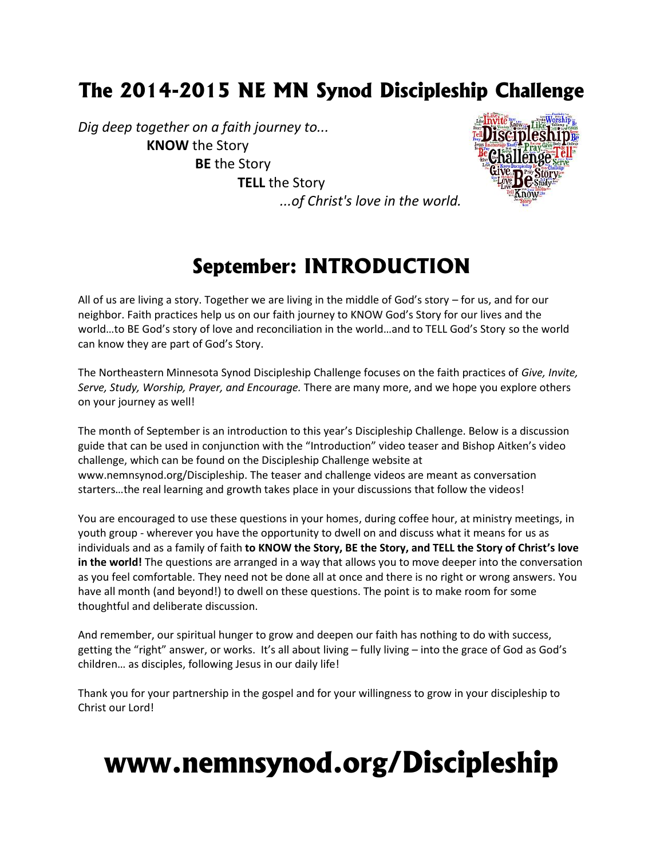### **The 2014-2015 NE MN Synod Discipleship Challenge**

*Dig deep together on a faith journey to...* **KNOW** the Story **BE** the Story **TELL** the Story



## **September: INTRODUCTION**

*...of Christ's love in the world.*

All of us are living a story. Together we are living in the middle of God's story – for us, and for our neighbor. Faith practices help us on our faith journey to KNOW God's Story for our lives and the world…to BE God's story of love and reconciliation in the world…and to TELL God's Story so the world can know they are part of God's Story.

The Northeastern Minnesota Synod Discipleship Challenge focuses on the faith practices of *Give, Invite, Serve, Study, Worship, Prayer, and Encourage.* There are many more, and we hope you explore others on your journey as well!

The month of September is an introduction to this year's Discipleship Challenge. Below is a discussion guide that can be used in conjunction with the "Introduction" video teaser and Bishop Aitken's video challenge, which can be found on the Discipleship Challenge website at www.nemnsynod.org/Discipleship. The teaser and challenge videos are meant as conversation starters…the real learning and growth takes place in your discussions that follow the videos!

You are encouraged to use these questions in your homes, during coffee hour, at ministry meetings, in youth group - wherever you have the opportunity to dwell on and discuss what it means for us as individuals and as a family of faith **to KNOW the Story, BE the Story, and TELL the Story of Christ's love in the world!** The questions are arranged in a way that allows you to move deeper into the conversation as you feel comfortable. They need not be done all at once and there is no right or wrong answers. You have all month (and beyond!) to dwell on these questions. The point is to make room for some thoughtful and deliberate discussion.

And remember, our spiritual hunger to grow and deepen our faith has nothing to do with success, getting the "right" answer, or works. It's all about living – fully living – into the grace of God as God's children… as disciples, following Jesus in our daily life!

Thank you for your partnership in the gospel and for your willingness to grow in your discipleship to Christ our Lord!

# **www.nemnsynod.org/Discipleship**